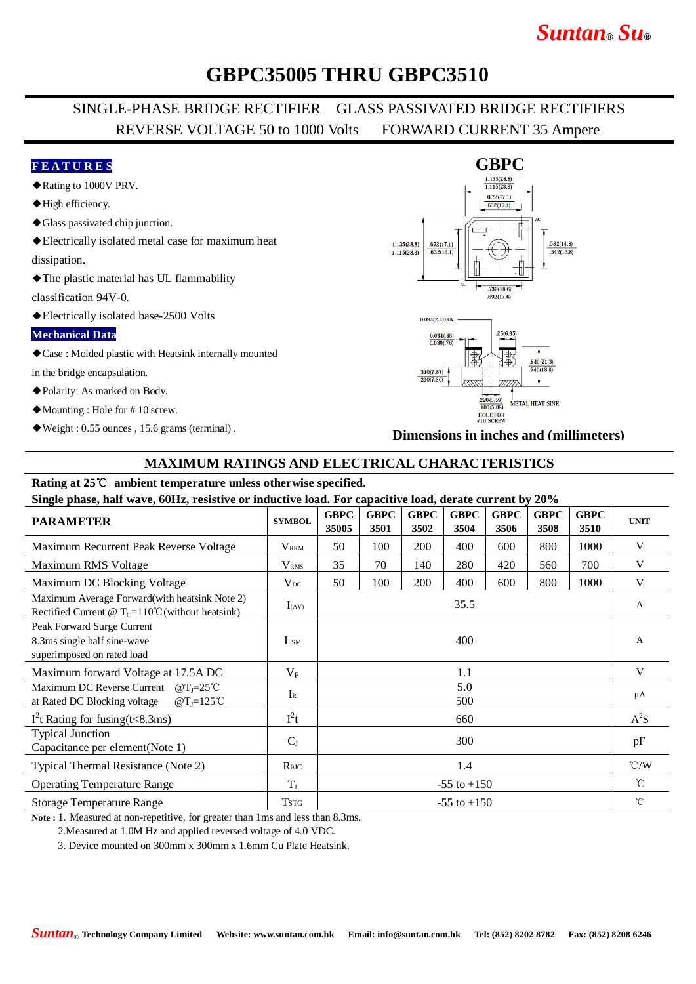# *Suntan***®** *Su***®**

## **GBPC35005 THRU GBPC3510**

## SINGLE-PHASE BRIDGE RECTIFIER GLASS PASSIVATED BRIDGE RECTIFIERS REVERSE VOLTAGE 50 to 1000 Volts FORWARD CURRENT 35 Ampere

### **F E A T U R E S**

- ◆Rating to 1000V PRV.
- ◆High efficiency.
- ◆Glass passivated chip junction.
- ◆Electrically isolated metal case for maximum heat

dissipation.

◆The plastic material has UL flammability

classification 94V-0.

◆Electrically isolated base-2500 Volts

#### **Mechanical Data**

◆Case : Molded plastic with Heatsink internally mounted

in the bridge encapsulation.

- ◆Polarity: As marked on Body.
- ◆Mounting : Hole for # 10 screw.
- ◆Weight : 0.55 ounces , 15.6 grams (terminal) .

#### $\text{GBPC}\atop{\frac{1.135(28.8)}{1.115(28.3)}}$  $0.72(17.1)$  $632(16.1)$ <del>. .</del> 1.135(28.8)  $.672(17.1)$  $582(14.8)$  $1.115(28.3)$  $-632(16.1)$  $.542(13.8)$  $.732(18.6)$ .692(17.6)



**Dimensions in inches and (millimeters)**

### **MAXIMUM RATINGS AND ELECTRICAL CHARACTERISTICS**

#### **Rating at 25**℃ **ambient temperature unless otherwise specified. Single phase, half wave, 60Hz, resistive or inductive load. For capacitive load, derate current by 20%**

| Single phase, half wave, ourly, resistive of inductive load. For capacitive load, defait current by 20%            |                 |                      |                     |                     |                     |                     |                     |                     |                    |
|--------------------------------------------------------------------------------------------------------------------|-----------------|----------------------|---------------------|---------------------|---------------------|---------------------|---------------------|---------------------|--------------------|
| <b>PARAMETER</b>                                                                                                   | <b>SYMBOL</b>   | <b>GBPC</b><br>35005 | <b>GBPC</b><br>3501 | <b>GBPC</b><br>3502 | <b>GBPC</b><br>3504 | <b>GBPC</b><br>3506 | <b>GBPC</b><br>3508 | <b>GBPC</b><br>3510 | <b>UNIT</b>        |
| Maximum Recurrent Peak Reverse Voltage                                                                             | $V_{\rm RRM}$   | 50                   | 100                 | 200                 | 400                 | 600                 | 800                 | 1000                | V                  |
| Maximum RMS Voltage                                                                                                | $\rm V_{RMS}$   | 35                   | 70                  | 140                 | 280                 | 420                 | 560                 | 700                 | V                  |
| Maximum DC Blocking Voltage                                                                                        | $V_{DC}$        | 50                   | 100                 | 200                 | 400                 | 600                 | 800                 | 1000                | V                  |
| Maximum Average Forward (with heatsink Note 2)<br>Rectified Current @ $T_c=110^{\circ}$ C (without heatsink)       | $I_{(AV)}$      | 35.5                 |                     |                     |                     |                     |                     |                     | A                  |
| Peak Forward Surge Current<br>8.3ms single half sine-wave<br>superimposed on rated load                            | <b>IFSM</b>     | 400                  |                     |                     |                     |                     |                     |                     | A                  |
| Maximum forward Voltage at 17.5A DC                                                                                | $V_{\rm F}$     | 1.1                  |                     |                     |                     |                     |                     |                     | V                  |
| Maximum DC Reverse Current<br>$\omega$ T <sub>I</sub> =25°C<br>at Rated DC Blocking voltage<br>$@T_J=125^{\circ}C$ | $I_{R}$         | 5.0<br>500           |                     |                     |                     |                     |                     |                     | μA                 |
| $I2$ t Rating for fusing(t<8.3ms)                                                                                  | $I^2t$          | 660                  |                     |                     |                     |                     |                     |                     | $A^2S$             |
| <b>Typical Junction</b><br>Capacitance per element(Note 1)                                                         | $C_{J}$         | 300                  |                     |                     |                     |                     |                     |                     | pF                 |
| Typical Thermal Resistance (Note 2)                                                                                | $R$ $\theta$ JC | 1.4                  |                     |                     |                     |                     |                     |                     | $\rm ^{\circ}$ C/W |
| <b>Operating Temperature Range</b>                                                                                 | $T_{\rm J}$     | $-55$ to $+150$      |                     |                     |                     |                     |                     |                     | $^{\circ}$ C       |
| Storage Temperature Range                                                                                          | <b>TSTG</b>     | $-55$ to $+150$      |                     |                     |                     |                     |                     |                     | $^{\circ}$ C       |

**Note :** 1. Measured at non-repetitive, for greater than 1ms and less than 8.3ms.

2.Measured at 1.0M Hz and applied reversed voltage of 4.0 VDC.

3. Device mounted on 300mm x 300mm x 1.6mm Cu Plate Heatsink.